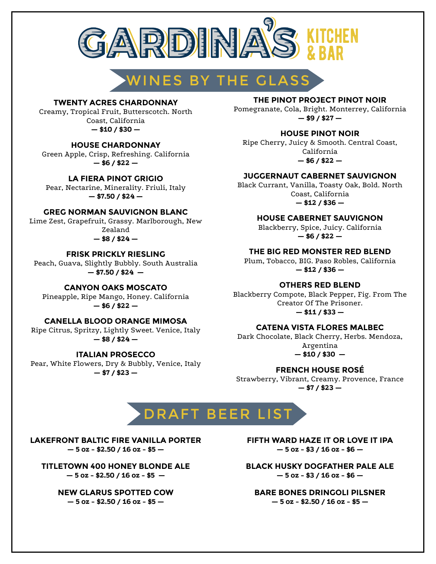

# WINES BY THE GLASS

#### **TWENTY ACRES CHARDONNAY**

Creamy, Tropical Fruit, Butterscotch. North Coast, California **— \$10 / \$30 —**

#### **HOUSE CHARDONNAY**

Green Apple, Crisp, Refreshing. California **— \$6 / \$22 —**

#### **LA FIERA PINOT GRIGIO**

Pear, Nectarine, Minerality. Friuli, Italy **— \$7.50 / \$24 —**

#### **GREG NORMAN SAUVIGNON BLANC**

Lime Zest, Grapefruit, Grassy. Marlborough, New Zealand

### **— \$8 / \$24 —**

**FRISK PRICKLY RIESLING** Peach, Guava, Slightly Bubbly. South Australia

**— \$7.50 / \$24 —**

#### **CANYON OAKS MOSCATO**

Pineapple, Ripe Mango, Honey. California **— \$6 / \$22 —**

#### **CANELLA BLOOD ORANGE MIMOSA**

Ripe Citrus, Spritzy, Lightly Sweet. Venice, Italy **— \$8 / \$24 —**

Pear, White Flowers, Dry & Bubbly, Venice, Italy **— \$7 / \$23 — FRENCH HOUSE ROSÉ**

#### **THE PINOT PROJECT PINOT NOIR**

Pomegranate, Cola, Bright. Monterrey, California **— \$9 / \$27 —**

#### **HOUSE PINOT NOIR**

Ripe Cherry, Juicy & Smooth. Central Coast, California **— \$6 / \$22 —**

#### **JUGGERNAUT CABERNET SAUVIGNON**

Black Currant, Vanilla, Toasty Oak, Bold. North Coast, California **— \$12 / \$36 —**

#### **HOUSE CABERNET SAUVIGNON**

Blackberry, Spice, Juicy. California **— \$6 / \$22 —**

**THE BIG RED MONSTER RED BLEND** Plum, Tobacco, BIG. Paso Robles, California

**— \$12 / \$36 —**

**OTHERS RED BLEND**

Blackberry Compote, Black Pepper, Fig. From The Creator Of The Prisoner. **— \$11 / \$33 —**

#### **CATENA VISTA FLORES MALBEC**

Dark Chocolate, Black Cherry, Herbs. Mendoza, Argentina **ITALIAN PROSECCO — \$10 / \$30 —**

Strawberry, Vibrant, Creamy. Provence, France **— \$7 / \$23 —**

# DRAFT BEER LIST

**LAKEFRONT BALTIC FIRE VANILLA PORTER — 5 oz - \$2.50 / 16 oz - \$5 —**

**TITLETOWN 400 HONEY BLONDE ALE — 5 oz - \$2.50 / 16 oz - \$5 —**

> **NEW GLARUS SPOTTED COW — 5 oz - \$2.50 / 16 oz - \$5 —**

**FIFTH WARD HAZE IT OR LOVE IT IPA — 5 oz - \$3 / 16 oz - \$6 —**

**BLACK HUSKY DOGFATHER PALE ALE — 5 oz - \$3 / 16 oz - \$6 —**

**BARE BONES DRINGOLI PILSNER — 5 oz - \$2.50 / 16 oz - \$5 —**